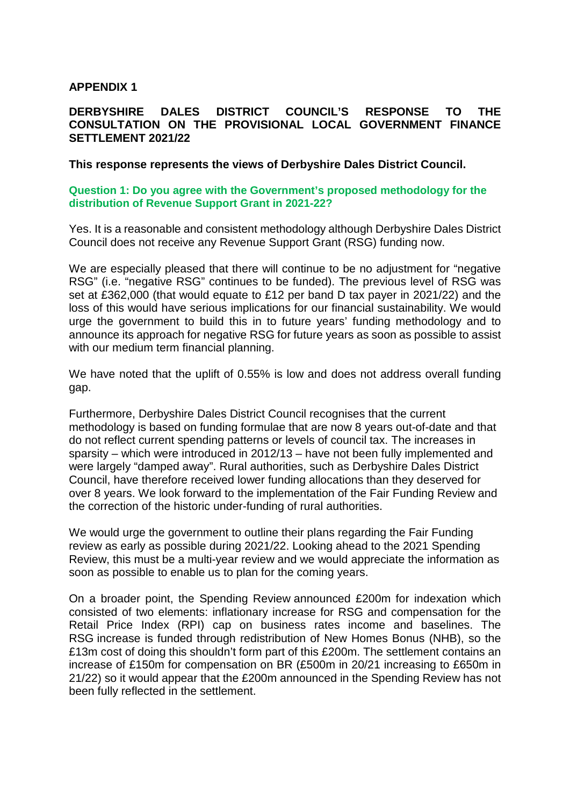# **APPENDIX 1**

# **DERBYSHIRE DALES DISTRICT COUNCIL'S RESPONSE TO THE CONSULTATION ON THE PROVISIONAL LOCAL GOVERNMENT FINANCE SETTLEMENT 2021/22**

#### **This response represents the views of Derbyshire Dales District Council.**

#### **Question 1: Do you agree with the Government's proposed methodology for the distribution of Revenue Support Grant in 2021-22?**

Yes. It is a reasonable and consistent methodology although Derbyshire Dales District Council does not receive any Revenue Support Grant (RSG) funding now.

We are especially pleased that there will continue to be no adjustment for "negative RSG" (i.e. "negative RSG" continues to be funded). The previous level of RSG was set at £362,000 (that would equate to £12 per band D tax payer in 2021/22) and the loss of this would have serious implications for our financial sustainability. We would urge the government to build this in to future years' funding methodology and to announce its approach for negative RSG for future years as soon as possible to assist with our medium term financial planning.

We have noted that the uplift of 0.55% is low and does not address overall funding gap.

Furthermore, Derbyshire Dales District Council recognises that the current methodology is based on funding formulae that are now 8 years out-of-date and that do not reflect current spending patterns or levels of council tax. The increases in sparsity – which were introduced in 2012/13 – have not been fully implemented and were largely "damped away". Rural authorities, such as Derbyshire Dales District Council, have therefore received lower funding allocations than they deserved for over 8 years. We look forward to the implementation of the Fair Funding Review and the correction of the historic under-funding of rural authorities.

We would urge the government to outline their plans regarding the Fair Funding review as early as possible during 2021/22. Looking ahead to the 2021 Spending Review, this must be a multi-year review and we would appreciate the information as soon as possible to enable us to plan for the coming years.

On a broader point, the Spending Review announced £200m for indexation which consisted of two elements: inflationary increase for RSG and compensation for the Retail Price Index (RPI) cap on business rates income and baselines. The RSG increase is funded through redistribution of New Homes Bonus (NHB), so the £13m cost of doing this shouldn't form part of this £200m. The settlement contains an increase of £150m for compensation on BR (£500m in 20/21 increasing to £650m in 21/22) so it would appear that the £200m announced in the Spending Review has not been fully reflected in the settlement.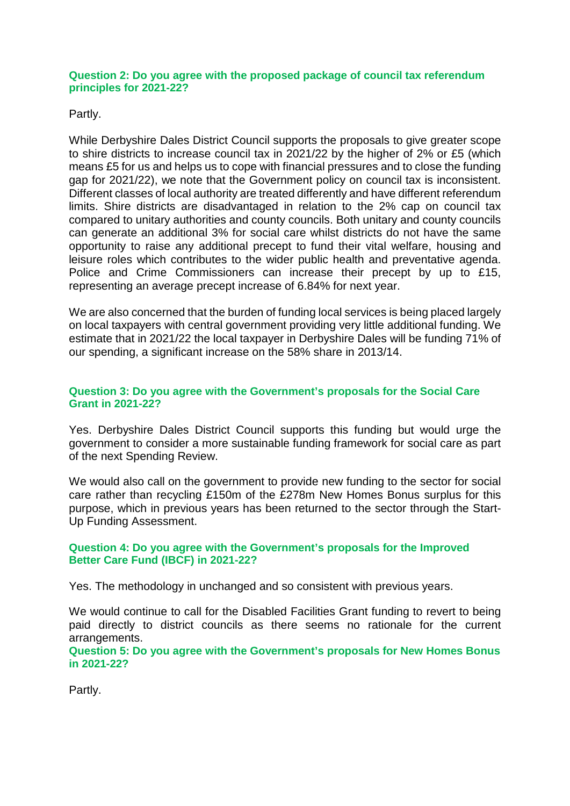#### **Question 2: Do you agree with the proposed package of council tax referendum principles for 2021-22?**

Partly.

While Derbyshire Dales District Council supports the proposals to give greater scope to shire districts to increase council tax in 2021/22 by the higher of 2% or £5 (which means £5 for us and helps us to cope with financial pressures and to close the funding gap for 2021/22), we note that the Government policy on council tax is inconsistent. Different classes of local authority are treated differently and have different referendum limits. Shire districts are disadvantaged in relation to the 2% cap on council tax compared to unitary authorities and county councils. Both unitary and county councils can generate an additional 3% for social care whilst districts do not have the same opportunity to raise any additional precept to fund their vital welfare, housing and leisure roles which contributes to the wider public health and preventative agenda. Police and Crime Commissioners can increase their precept by up to £15, representing an average precept increase of 6.84% for next year.

We are also concerned that the burden of funding local services is being placed largely on local taxpayers with central government providing very little additional funding. We estimate that in 2021/22 the local taxpayer in Derbyshire Dales will be funding 71% of our spending, a significant increase on the 58% share in 2013/14.

## **Question 3: Do you agree with the Government's proposals for the Social Care Grant in 2021-22?**

Yes. Derbyshire Dales District Council supports this funding but would urge the government to consider a more sustainable funding framework for social care as part of the next Spending Review.

We would also call on the government to provide new funding to the sector for social care rather than recycling £150m of the £278m New Homes Bonus surplus for this purpose, which in previous years has been returned to the sector through the Start-Up Funding Assessment.

## **Question 4: Do you agree with the Government's proposals for the Improved Better Care Fund (IBCF) in 2021-22?**

Yes. The methodology in unchanged and so consistent with previous years.

We would continue to call for the Disabled Facilities Grant funding to revert to being paid directly to district councils as there seems no rationale for the current arrangements.

**Question 5: Do you agree with the Government's proposals for New Homes Bonus in 2021-22?**

Partly.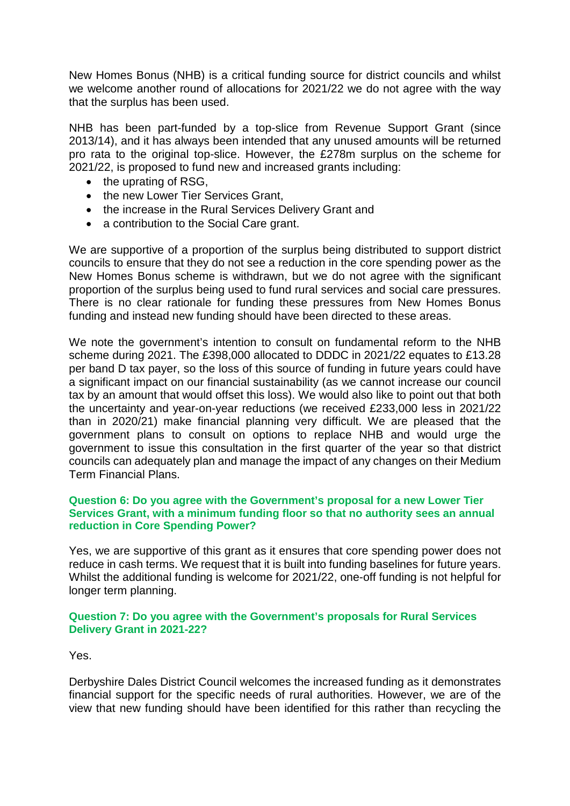New Homes Bonus (NHB) is a critical funding source for district councils and whilst we welcome another round of allocations for 2021/22 we do not agree with the way that the surplus has been used.

NHB has been part-funded by a top-slice from Revenue Support Grant (since 2013/14), and it has always been intended that any unused amounts will be returned pro rata to the original top-slice. However, the £278m surplus on the scheme for 2021/22, is proposed to fund new and increased grants including:

- the uprating of RSG,
- the new Lower Tier Services Grant.
- the increase in the Rural Services Delivery Grant and
- a contribution to the Social Care grant.

We are supportive of a proportion of the surplus being distributed to support district councils to ensure that they do not see a reduction in the core spending power as the New Homes Bonus scheme is withdrawn, but we do not agree with the significant proportion of the surplus being used to fund rural services and social care pressures. There is no clear rationale for funding these pressures from New Homes Bonus funding and instead new funding should have been directed to these areas.

We note the government's intention to consult on fundamental reform to the NHB scheme during 2021. The £398,000 allocated to DDDC in 2021/22 equates to £13.28 per band D tax payer, so the loss of this source of funding in future years could have a significant impact on our financial sustainability (as we cannot increase our council tax by an amount that would offset this loss). We would also like to point out that both the uncertainty and year-on-year reductions (we received £233,000 less in 2021/22 than in 2020/21) make financial planning very difficult. We are pleased that the government plans to consult on options to replace NHB and would urge the government to issue this consultation in the first quarter of the year so that district councils can adequately plan and manage the impact of any changes on their Medium Term Financial Plans.

### **Question 6: Do you agree with the Government's proposal for a new Lower Tier Services Grant, with a minimum funding floor so that no authority sees an annual reduction in Core Spending Power?**

Yes, we are supportive of this grant as it ensures that core spending power does not reduce in cash terms. We request that it is built into funding baselines for future years. Whilst the additional funding is welcome for 2021/22, one-off funding is not helpful for longer term planning.

## **Question 7: Do you agree with the Government's proposals for Rural Services Delivery Grant in 2021-22?**

Yes.

Derbyshire Dales District Council welcomes the increased funding as it demonstrates financial support for the specific needs of rural authorities. However, we are of the view that new funding should have been identified for this rather than recycling the